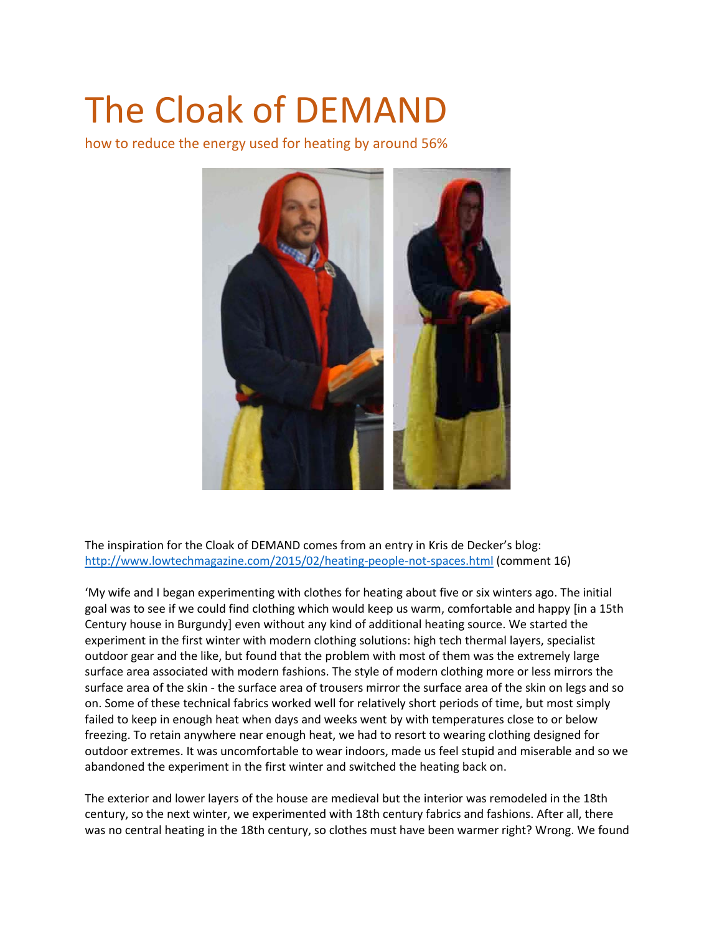# The Cloak of DEMAND

how to reduce the energy used for heating by around 56%



The inspiration for the Cloak of DEMAND comes from an entry in Kris de Decker's blog: <http://www.lowtechmagazine.com/2015/02/heating-people-not-spaces.html> (comment 16)

'My wife and I began experimenting with clothes for heating about five or six winters ago. The initial goal was to see if we could find clothing which would keep us warm, comfortable and happy [in a 15th Century house in Burgundy] even without any kind of additional heating source. We started the experiment in the first winter with modern clothing solutions: high tech thermal layers, specialist outdoor gear and the like, but found that the problem with most of them was the extremely large surface area associated with modern fashions. The style of modern clothing more or less mirrors the surface area of the skin - the surface area of trousers mirror the surface area of the skin on legs and so on. Some of these technical fabrics worked well for relatively short periods of time, but most simply failed to keep in enough heat when days and weeks went by with temperatures close to or below freezing. To retain anywhere near enough heat, we had to resort to wearing clothing designed for outdoor extremes. It was uncomfortable to wear indoors, made us feel stupid and miserable and so we abandoned the experiment in the first winter and switched the heating back on.

The exterior and lower layers of the house are medieval but the interior was remodeled in the 18th century, so the next winter, we experimented with 18th century fabrics and fashions. After all, there was no central heating in the 18th century, so clothes must have been warmer right? Wrong. We found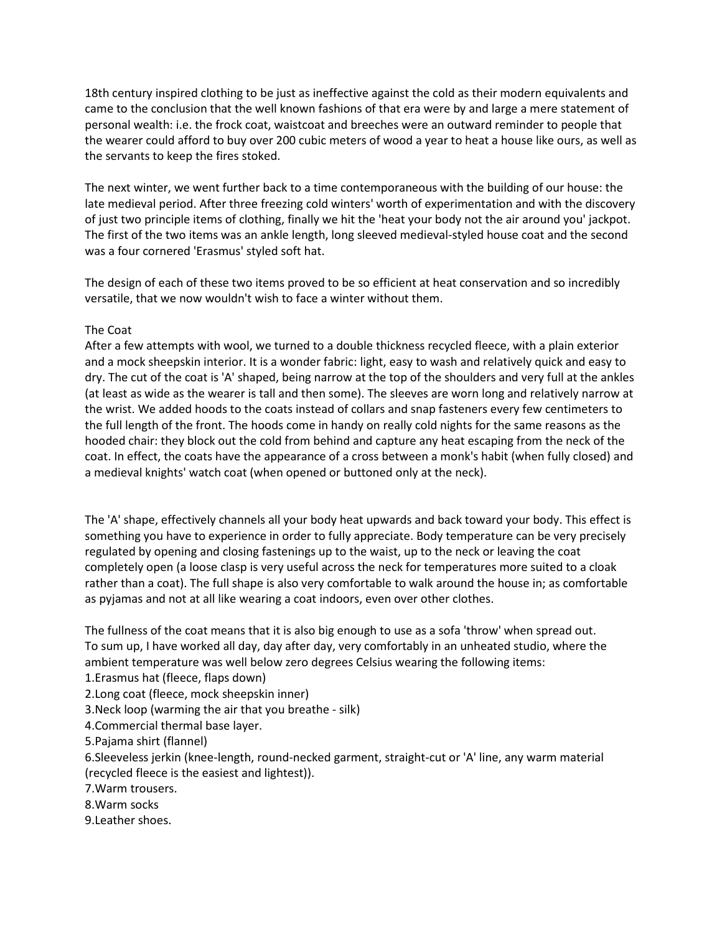18th century inspired clothing to be just as ineffective against the cold as their modern equivalents and came to the conclusion that the well known fashions of that era were by and large a mere statement of personal wealth: i.e. the frock coat, waistcoat and breeches were an outward reminder to people that the wearer could afford to buy over 200 cubic meters of wood a year to heat a house like ours, as well as the servants to keep the fires stoked.

The next winter, we went further back to a time contemporaneous with the building of our house: the late medieval period. After three freezing cold winters' worth of experimentation and with the discovery of just two principle items of clothing, finally we hit the 'heat your body not the air around you' jackpot. The first of the two items was an ankle length, long sleeved medieval-styled house coat and the second was a four cornered 'Erasmus' styled soft hat.

The design of each of these two items proved to be so efficient at heat conservation and so incredibly versatile, that we now wouldn't wish to face a winter without them.

## The Coat

After a few attempts with wool, we turned to a double thickness recycled fleece, with a plain exterior and a mock sheepskin interior. It is a wonder fabric: light, easy to wash and relatively quick and easy to dry. The cut of the coat is 'A' shaped, being narrow at the top of the shoulders and very full at the ankles (at least as wide as the wearer is tall and then some). The sleeves are worn long and relatively narrow at the wrist. We added hoods to the coats instead of collars and snap fasteners every few centimeters to the full length of the front. The hoods come in handy on really cold nights for the same reasons as the hooded chair: they block out the cold from behind and capture any heat escaping from the neck of the coat. In effect, the coats have the appearance of a cross between a monk's habit (when fully closed) and a medieval knights' watch coat (when opened or buttoned only at the neck).

The 'A' shape, effectively channels all your body heat upwards and back toward your body. This effect is something you have to experience in order to fully appreciate. Body temperature can be very precisely regulated by opening and closing fastenings up to the waist, up to the neck or leaving the coat completely open (a loose clasp is very useful across the neck for temperatures more suited to a cloak rather than a coat). The full shape is also very comfortable to walk around the house in; as comfortable as pyjamas and not at all like wearing a coat indoors, even over other clothes.

The fullness of the coat means that it is also big enough to use as a sofa 'throw' when spread out. To sum up, I have worked all day, day after day, very comfortably in an unheated studio, where the ambient temperature was well below zero degrees Celsius wearing the following items:

1.Erasmus hat (fleece, flaps down)

- 2.Long coat (fleece, mock sheepskin inner)
- 3.Neck loop (warming the air that you breathe silk)

4.Commercial thermal base layer.

5.Pajama shirt (flannel)

6.Sleeveless jerkin (knee-length, round-necked garment, straight-cut or 'A' line, any warm material (recycled fleece is the easiest and lightest)).

7.Warm trousers.

8.Warm socks

9.Leather shoes.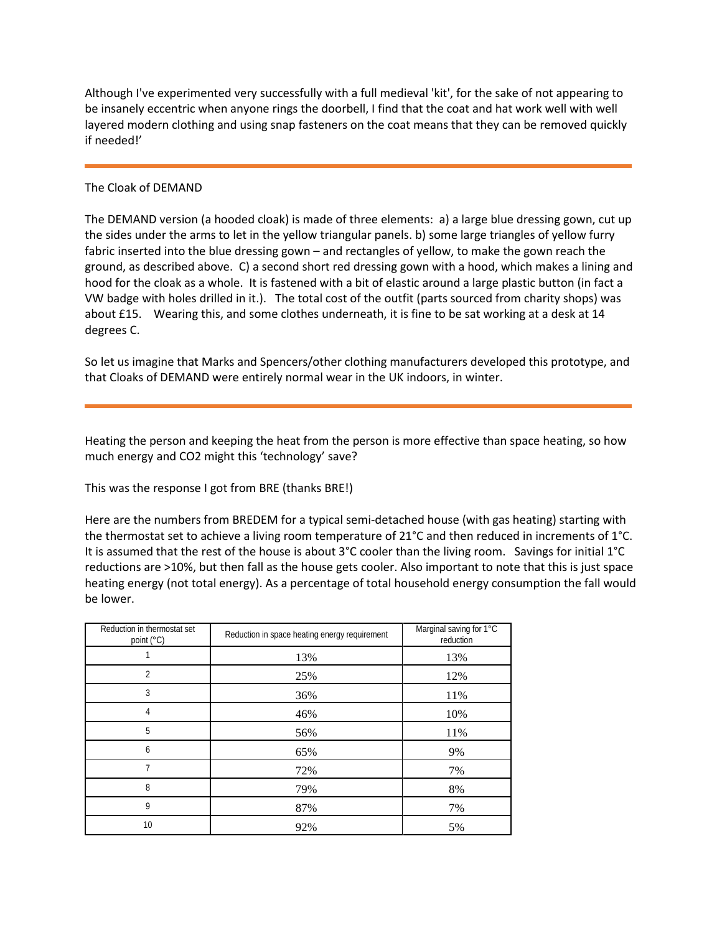Although I've experimented very successfully with a full medieval 'kit', for the sake of not appearing to be insanely eccentric when anyone rings the doorbell, I find that the coat and hat work well with well layered modern clothing and using snap fasteners on the coat means that they can be removed quickly if needed!'

## The Cloak of DEMAND

The DEMAND version (a hooded cloak) is made of three elements: a) a large blue dressing gown, cut up the sides under the arms to let in the yellow triangular panels. b) some large triangles of yellow furry fabric inserted into the blue dressing gown – and rectangles of yellow, to make the gown reach the ground, as described above. C) a second short red dressing gown with a hood, which makes a lining and hood for the cloak as a whole. It is fastened with a bit of elastic around a large plastic button (in fact a VW badge with holes drilled in it.). The total cost of the outfit (parts sourced from charity shops) was about £15. Wearing this, and some clothes underneath, it is fine to be sat working at a desk at 14 degrees C.

So let us imagine that Marks and Spencers/other clothing manufacturers developed this prototype, and that Cloaks of DEMAND were entirely normal wear in the UK indoors, in winter.

Heating the person and keeping the heat from the person is more effective than space heating, so how much energy and CO2 might this 'technology' save?

This was the response I got from BRE (thanks BRE!)

Here are the numbers from BREDEM for a typical semi-detached house (with gas heating) starting with the thermostat set to achieve a living room temperature of 21°C and then reduced in increments of 1°C. It is assumed that the rest of the house is about 3°C cooler than the living room. Savings for initial 1°C reductions are >10%, but then fall as the house gets cooler. Also important to note that this is just space heating energy (not total energy). As a percentage of total household energy consumption the fall would be lower.

| Reduction in thermostat set<br>point (°C) | Reduction in space heating energy requirement | Marginal saving for 1°C<br>reduction |
|-------------------------------------------|-----------------------------------------------|--------------------------------------|
|                                           | 13%                                           | 13%                                  |
| $\overline{2}$                            | 25%                                           | 12%                                  |
| 3                                         | 36%                                           | 11%                                  |
| 4                                         | 46%                                           | 10%                                  |
| 5                                         | 56%                                           | 11%                                  |
| 6                                         | 65%                                           | 9%                                   |
|                                           | 72%                                           | 7%                                   |
| 8                                         | 79%                                           | 8%                                   |
| 9                                         | 87%                                           | 7%                                   |
| 10                                        | 92%                                           | 5%                                   |